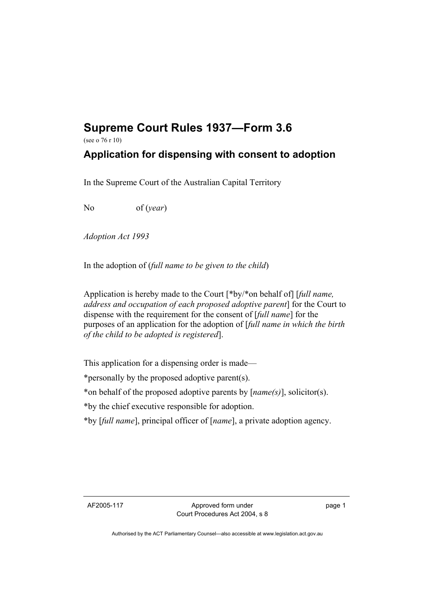## **Supreme Court Rules 1937—Form 3.6**

(see o 76 r 10)

## **Application for dispensing with consent to adoption**

In the Supreme Court of the Australian Capital Territory

No of (*year*)

*Adoption Act 1993* 

In the adoption of (*full name to be given to the child*)

Application is hereby made to the Court [\*by/\*on behalf of] [*full name, address and occupation of each proposed adoptive parent*] for the Court to dispense with the requirement for the consent of [*full name*] for the purposes of an application for the adoption of [*full name in which the birth of the child to be adopted is registered*].

This application for a dispensing order is made—

\*personally by the proposed adoptive parent(s).

\*on behalf of the proposed adoptive parents by [*name(s)*], solicitor(s).

\*by the chief executive responsible for adoption.

\*by [*full name*], principal officer of [*name*], a private adoption agency.

AF2005-117 Approved form under Court Procedures Act 2004, s 8 page 1

Authorised by the ACT Parliamentary Counsel—also accessible at www.legislation.act.gov.au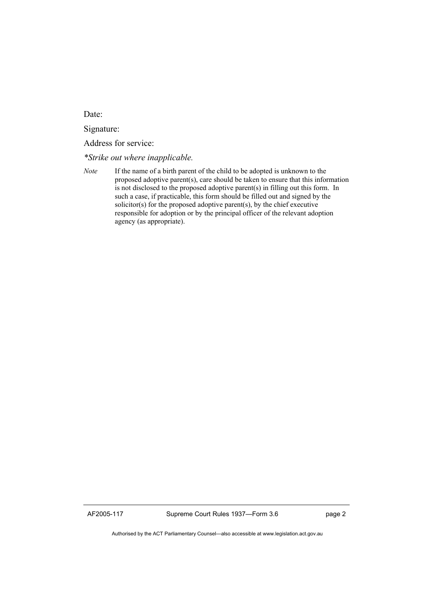Date:

Signature:

Address for service:

*\*Strike out where inapplicable.*

AF2005-117 Supreme Court Rules 1937—Form 3.6 page 2

Authorised by the ACT Parliamentary Counsel—also accessible at www.legislation.act.gov.au

*Note* If the name of a birth parent of the child to be adopted is unknown to the proposed adoptive parent(s), care should be taken to ensure that this information is not disclosed to the proposed adoptive parent(s) in filling out this form. In such a case, if practicable, this form should be filled out and signed by the solicitor(s) for the proposed adoptive parent(s), by the chief executive responsible for adoption or by the principal officer of the relevant adoption agency (as appropriate).